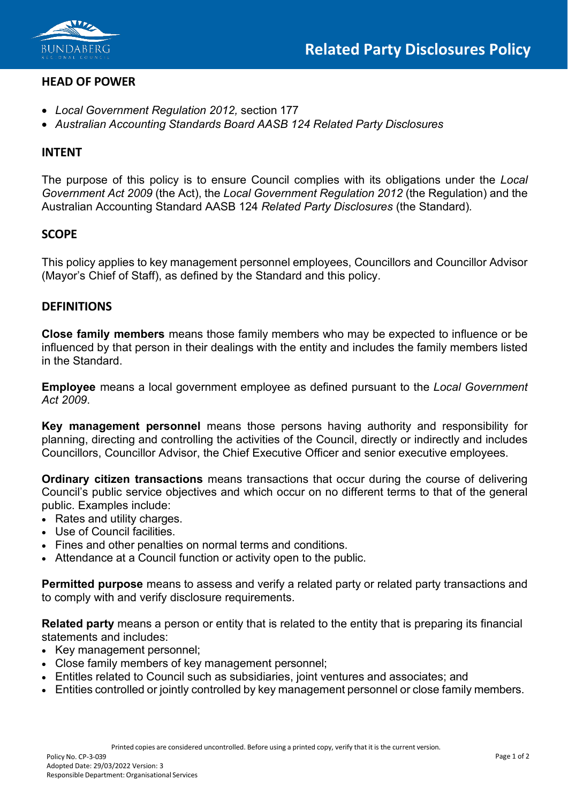

# **HEAD OF POWER**

- *Local Government Regulation 2012,* section 177
- *Australian Accounting Standards Board AASB 124 Related Party Disclosures*

#### **INTENT**

The purpose of this policy is to ensure Council complies with its obligations under the *Local Government Act 2009* (the Act), the *Local Government Regulation 2012* (the Regulation) and the Australian Accounting Standard AASB 124 *Related Party Disclosures* (the Standard)*.*

## **SCOPE**

This policy applies to key management personnel employees, Councillors and Councillor Advisor (Mayor's Chief of Staff), as defined by the Standard and this policy.

## **DEFINITIONS**

**Close family members** means those family members who may be expected to influence or be influenced by that person in their dealings with the entity and includes the family members listed in the Standard.

**Employee** means a local government employee as defined pursuant to the *Local Government Act 2009*.

**Key management personnel** means those persons having authority and responsibility for planning, directing and controlling the activities of the Council, directly or indirectly and includes Councillors, Councillor Advisor, the Chief Executive Officer and senior executive employees.

**Ordinary citizen transactions** means transactions that occur during the course of delivering Council's public service objectives and which occur on no different terms to that of the general public. Examples include:

- Rates and utility charges.
- Use of Council facilities.
- Fines and other penalties on normal terms and conditions.
- Attendance at a Council function or activity open to the public.

**Permitted purpose** means to assess and verify a related party or related party transactions and to comply with and verify disclosure requirements.

**Related party** means a person or entity that is related to the entity that is preparing its financial statements and includes:

- Key management personnel;
- Close family members of key management personnel;
- Entitles related to Council such as subsidiaries, joint ventures and associates; and
- Entities controlled or jointly controlled by key management personnel or close family members.